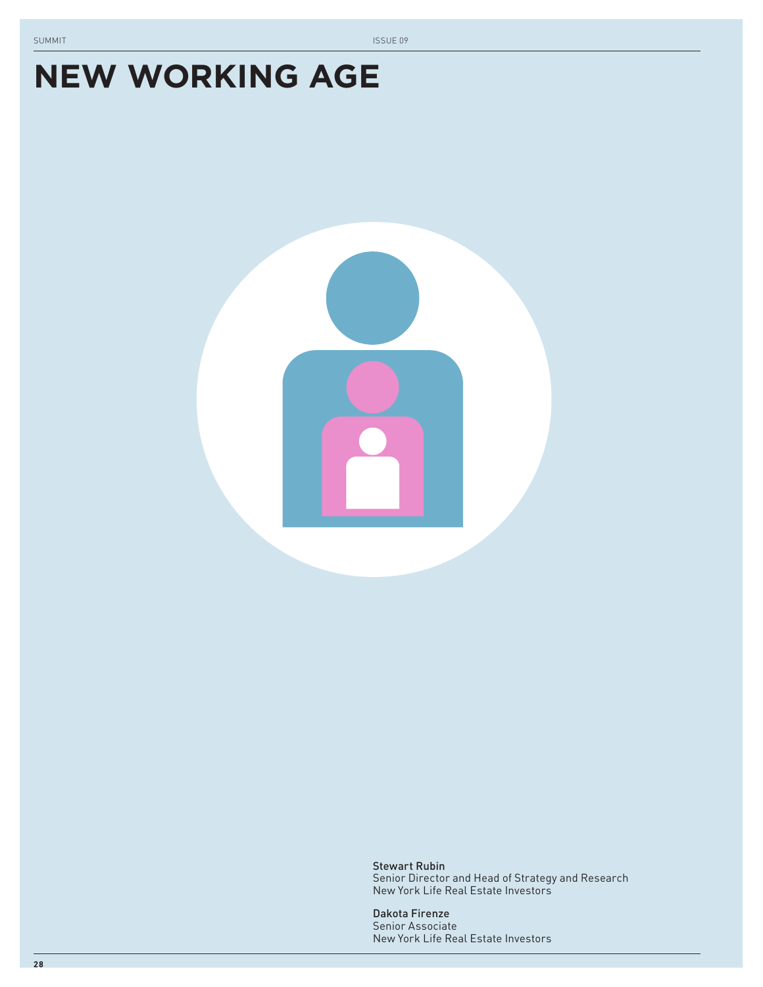# **NEW WORKING AGE**



Stewart Rubin Senior Director and Head of Strategy and Research New York Life Real Estate Investors

Dakota Firenze Senior Associate New York Life Real Estate Investors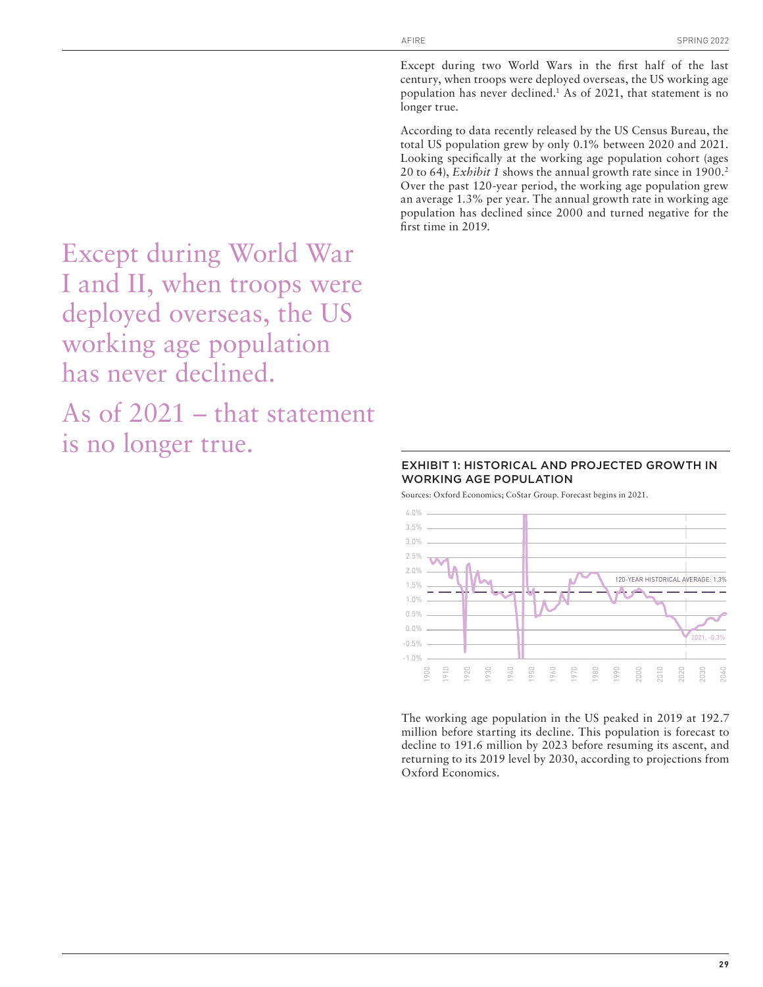Except during two World Wars in the first half of the last century, when troops were deployed overseas, the US working age population has never declined.<sup>1</sup> As of 2021, that statement is no longer true.

According to data recently released by the US Census Bureau, the total US population grew by only 0.1% between 2020 and 2021. Looking specifically at the working age population cohort (ages 20 to 64), *Exhibit 1* shows the annual growth rate since in 1900.2 Over the past 120-year period, the working age population grew an average 1.3% per year. The annual growth rate in working age population has declined since 2000 and turned negative for the first time in 2019.

Except during World War I and II, when troops were deployed overseas, the US working age population has never declined.

As of 2021 – that statement is no longer true.

# EXHIBIT 1: HISTORICAL AND PROJECTED GROWTH IN WORKING AGE POPULATION

Sources: Oxford Economics; CoStar Group. Forecast begins in 2021.



The working age population in the US peaked in 2019 at 192.7 million before starting its decline. This population is forecast to decline to 191.6 million by 2023 before resuming its ascent, and returning to its 2019 level by 2030, according to projections from Oxford Economics.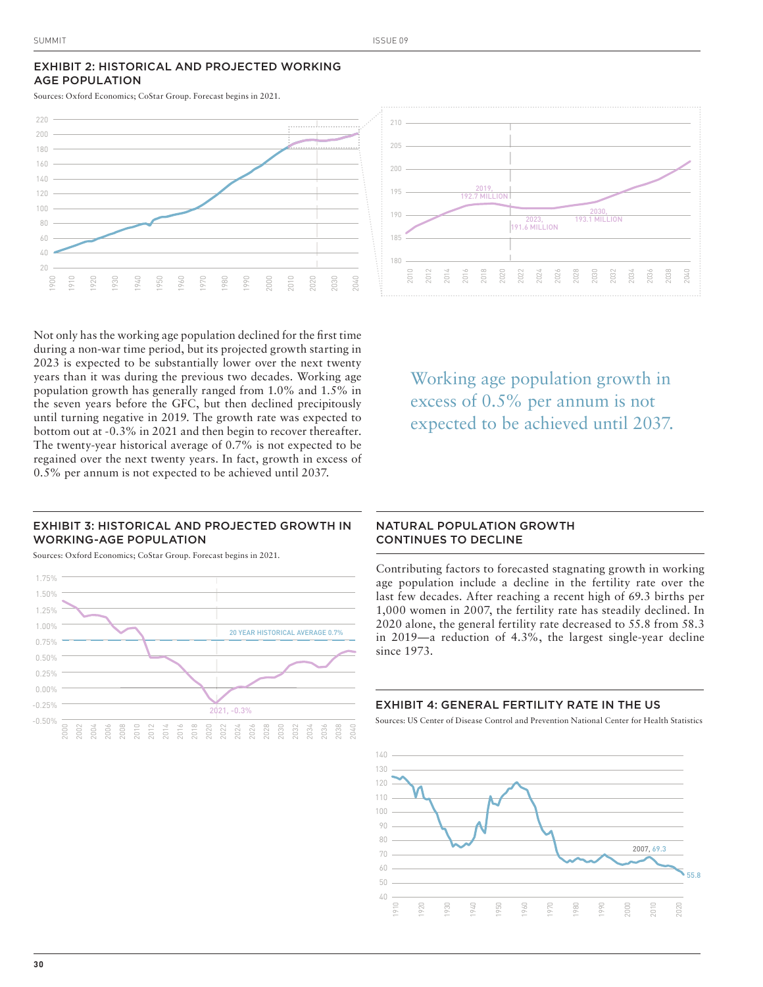# EXHIBIT 2: HISTORICAL AND PROJECTED WORKING AGE POPULATION

Sources: Oxford Economics; CoStar Group. Forecast begins in 2021.





Not only has the working age population declined for the first time during a non-war time period, but its projected growth starting in 2023 is expected to be substantially lower over the next twenty years than it was during the previous two decades. Working age population growth has generally ranged from 1.0% and 1.5% in the seven years before the GFC, but then declined precipitously until turning negative in 2019. The growth rate was expected to bottom out at -0.3% in 2021 and then begin to recover thereafter. The twenty-year historical average of 0.7% is not expected to be regained over the next twenty years. In fact, growth in excess of 0.5% per annum is not expected to be achieved until 2037.

Working age population growth in excess of 0.5% per annum is not expected to be achieved until 2037.

# EXHIBIT 3: HISTORICAL AND PROJECTED GROWTH IN WORKING-AGE POPULATION

Sources: Oxford Economics; CoStar Group. Forecast begins in 2021.



# NATURAL POPULATION GROWTH CONTINUES TO DECLINE

Contributing factors to forecasted stagnating growth in working age population include a decline in the fertility rate over the last few decades. After reaching a recent high of 69.3 births per 1,000 women in 2007, the fertility rate has steadily declined. In 2020 alone, the general fertility rate decreased to 55.8 from 58.3 in 2019—a reduction of 4.3%, the largest single-year decline since 1973.

#### EXHIBIT 4: GENERAL FERTILITY RATE IN THE US

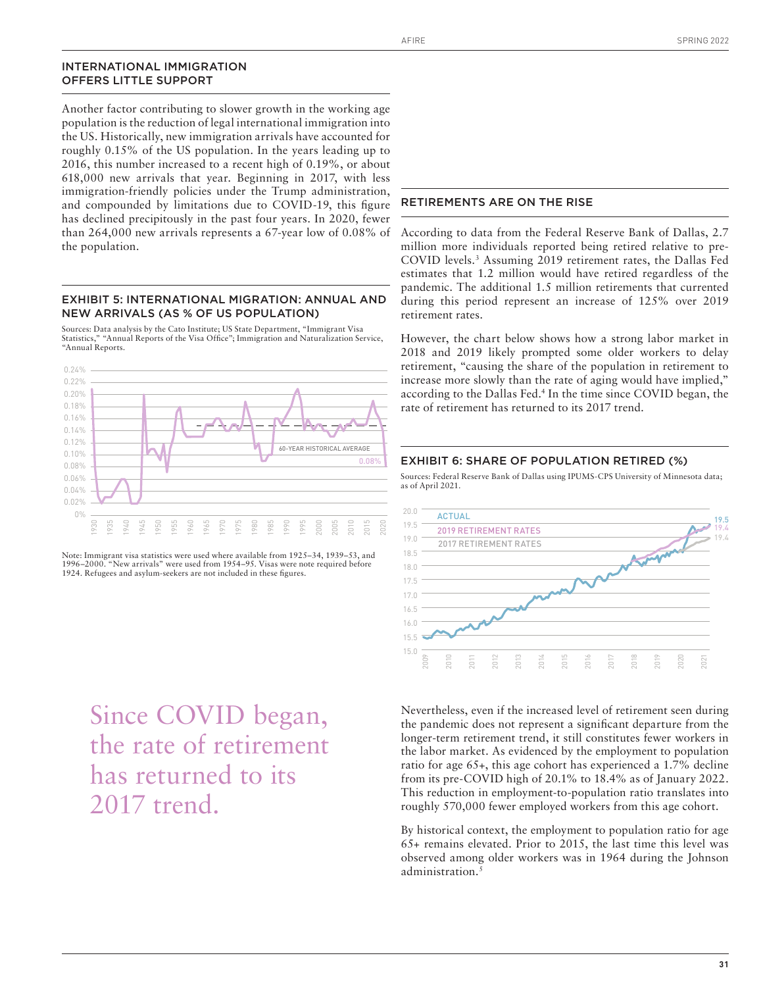#### INTERNATIONAL IMMIGRATION OFFERS LITTLE SUPPORT

Another factor contributing to slower growth in the working age population is the reduction of legal international immigration into the US. Historically, new immigration arrivals have accounted for roughly 0.15% of the US population. In the years leading up to 2016, this number increased to a recent high of 0.19%, or about 618,000 new arrivals that year. Beginning in 2017, with less immigration-friendly policies under the Trump administration, and compounded by limitations due to COVID-19, this figure has declined precipitously in the past four years. In 2020, fewer than 264,000 new arrivals represents a 67-year low of 0.08% of the population.

# EXHIBIT 5: INTERNATIONAL MIGRATION: ANNUAL AND NEW ARRIVALS (AS % OF US POPULATION)

Sources: Data analysis by the Cato Institute; US State Department, "Immigrant Visa Statistics," "Annual Reports of the Visa Office"; Immigration and Naturalization Service, "Annual Reports.



Note: Immigrant visa statistics were used where available from 1925–34, 1939–53, and 1996–2000. "New arrivals" were used from 1954–95. Visas were note required before 1924. Refugees and asylum-seekers are not included in these figures.

Since COVID began, the rate of retirement has returned to its 2017 trend.

#### RETIREMENTS ARE ON THE RISE

According to data from the Federal Reserve Bank of Dallas, 2.7 million more individuals reported being retired relative to pre-COVID levels.<sup>3</sup> Assuming 2019 retirement rates, the Dallas Fed estimates that 1.2 million would have retired regardless of the pandemic. The additional 1.5 million retirements that currented during this period represent an increase of 125% over 2019 retirement rates.

However, the chart below shows how a strong labor market in 2018 and 2019 likely prompted some older workers to delay retirement, "causing the share of the population in retirement to increase more slowly than the rate of aging would have implied," according to the Dallas Fed.4 In the time since COVID began, the rate of retirement has returned to its 2017 trend.

# EXHIBIT 6: SHARE OF POPULATION RETIRED (%)

Sources: Federal Reserve Bank of Dallas using IPUMS-CPS University of Minnesota data; as of April 2021.



Nevertheless, even if the increased level of retirement seen during the pandemic does not represent a significant departure from the longer-term retirement trend, it still constitutes fewer workers in the labor market. As evidenced by the employment to population ratio for age 65+, this age cohort has experienced a 1.7% decline from its pre-COVID high of 20.1% to 18.4% as of January 2022. This reduction in employment-to-population ratio translates into roughly 570,000 fewer employed workers from this age cohort.

By historical context, the employment to population ratio for age 65+ remains elevated. Prior to 2015, the last time this level was observed among older workers was in 1964 during the Johnson administration.<sup>5</sup>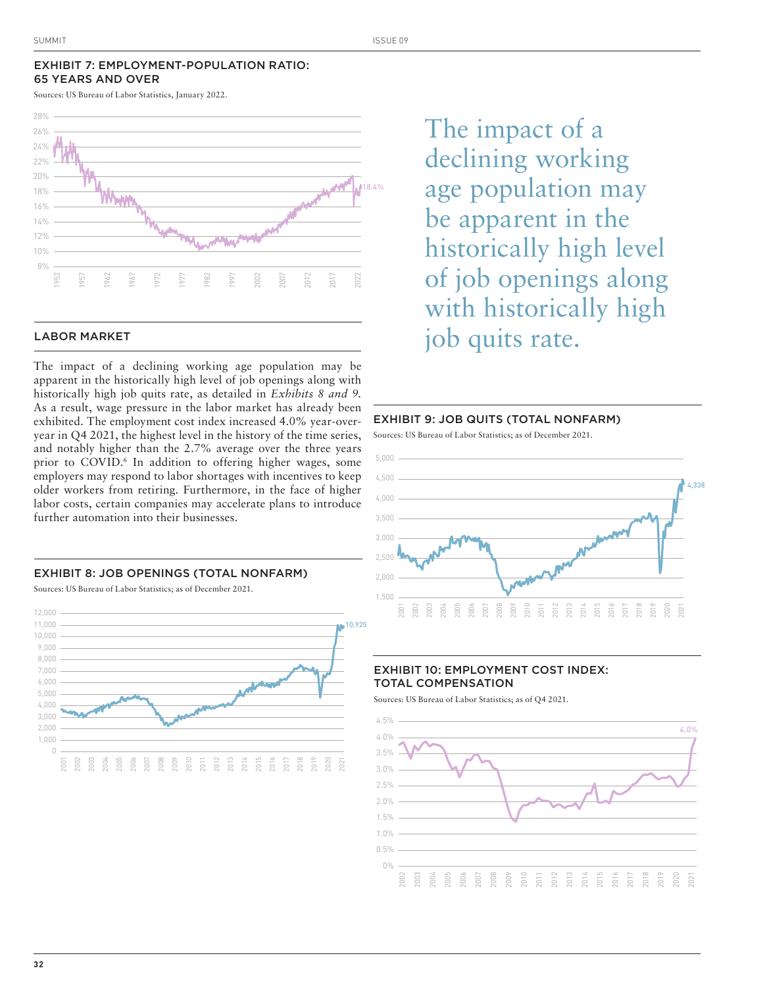# EXHIBIT 7: EMPLOYMENT-POPULATION RATIO: 65 YEARS AND OVER

Sources: US Bureau of Labor Statistics, January 2022.



#### LABOR MARKET

The impact of a declining working age population may be apparent in the historically high level of job openings along with historically high job quits rate, as detailed in *Exhibits 8 and 9.*  As a result, wage pressure in the labor market has already been exhibited. The employment cost index increased 4.0% year-overyear in Q4 2021, the highest level in the history of the time series, and notably higher than the 2.7% average over the three years prior to COVID.6 In addition to offering higher wages, some employers may respond to labor shortages with incentives to keep older workers from retiring. Furthermore, in the face of higher labor costs, certain companies may accelerate plans to introduce further automation into their businesses.

#### EXHIBIT 8: JOB OPENINGS (TOTAL NONFARM)

Sources: US Bureau of Labor Statistics; as of December 2021.



The impact of a declining working age population may be apparent in the historically high level of job openings along with historically high job quits rate.

# EXHIBIT 9: JOB QUITS (TOTAL NONFARM)

Sources: US Bureau of Labor Statistics; as of December 2021.



# EXHIBIT 10: EMPLOYMENT COST INDEX: TOTAL COMPENSATION

Sources: US Bureau of Labor Statistics; as of Q4 2021.